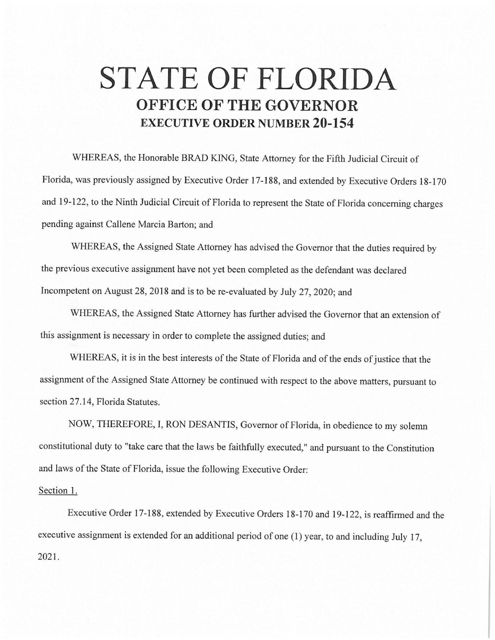## **STATE OF FLORIDA OFFICE OF THE GOVERNOR EXECUTIVE ORDER NUMBER 20-154**

WHEREAS, the Honorable BRAD KING, State Attorney for the Fifth Judicial Circuit of Florida, was previously assigned by Executive Order 17-188, and extended by Executive Orders 18-170 and 19-122, to the Ninth Judicial Circuit of Florida to represent the State of Florida concerning charges pending against Callene Marcia Barton; and

WHEREAS, the Assigned State Attorney has advised the Governor that the duties required by the previous executive assignment have not yet been completed as the defendant was declared Incompetent on August 28, 2018 and is to be re-evaluated by July 27, 2020; and

WHEREAS, the Assigned State Attorney has further advised the Governor that an extension of this assignment is necessary in order to complete the assigned duties; and

WHEREAS, it is in the best interests of the State of Florida and of the ends of justice that the assignment of the Assigned State Attorney be continued with respect to the above matters, pursuant to section 27.14, Florida Statutes.

NOW, THEREFORE, I, RON DESANTIS, Governor of Florida, in obedience to my solemn constitutional duty to "take care that the laws be faithfully executed," and pursuant to the Constitution and laws of the State of Florida, issue the following Executive Order:

## Section 1.

Executive Order 17-188, extended by Executive Orders 18-170 and 19-122, is reaffirmed and the executive assignment is extended for an additional period of one (1) year, to and including July 17, 2021.